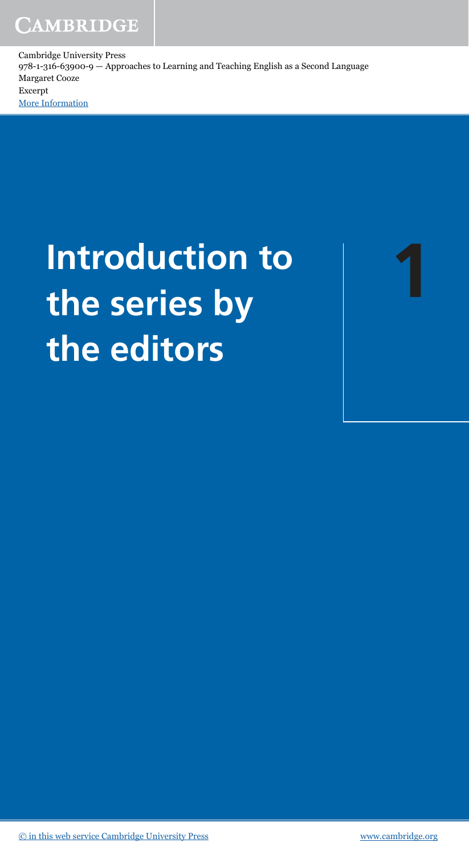Cambridge University Press 978-1-316-63900-9 — Approaches to Learning and Teaching English as a Second Language Margaret Cooze Excerpt [More Information](www.cambridge.org/9781316639009)

# **1 Introduction to the series by the editors**

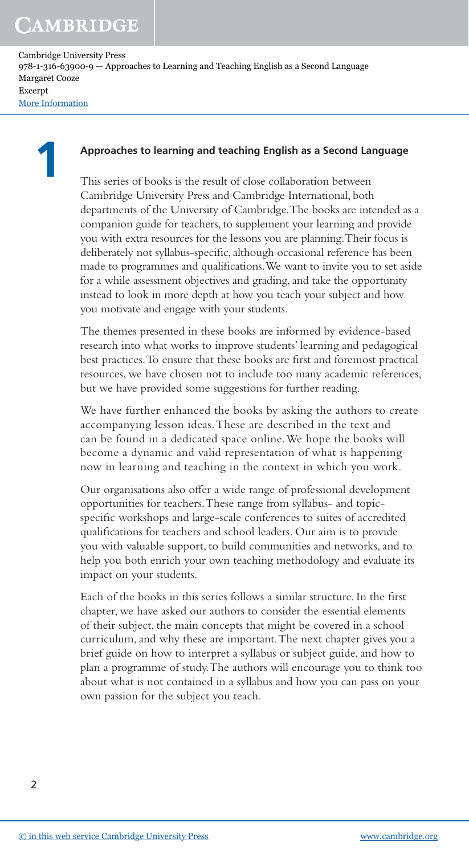Cambridge University Press 978-1-316-63900-9 — Approaches to Learning and Teaching English as a Second Language Margaret Cooze Excerpt [More Information](www.cambridge.org/9781316639009)

**1** 

#### **Approaches to learning and teaching English as a Second Language**

This series of books is the result of close collaboration between Cambridge University Press and Cambridge International, both departments of the University of Cambridge. The books are intended as a companion guide for teachers, to supplement your learning and provide you with extra resources for the lessons you are planning. Their focus is deliberately not syllabus-specific, although occasional reference has been made to programmes and qualifications. We want to invite you to set aside for a while assessment objectives and grading, and take the opportunity instead to look in more depth at how you teach your subject and how you motivate and engage with your students.

The themes presented in these books are informed by evidence-based research into what works to improve students' learning and pedagogical best practices. To ensure that these books are first and foremost practical resources, we have chosen not to include too many academic references, but we have provided some suggestions for further reading.

We have further enhanced the books by asking the authors to create accompanying lesson ideas. These are described in the text and can be found in a dedicated space online. We hope the books will become a dynamic and valid representation of what is happening now in learning and teaching in the context in which you work.

Our organisations also offer a wide range of professional development opportunities for teachers. These range from syllabus- and topicspecific workshops and large-scale conferences to suites of accredited qualifications for teachers and school leaders. Our aim is to provide you with valuable support, to build communities and networks, and to help you both enrich your own teaching methodology and evaluate its impact on your students.

Each of the books in this series follows a similar structure. In the first chapter, we have asked our authors to consider the essential elements of their subject, the main concepts that might be covered in a school curriculum, and why these are important. The next chapter gives you a brief guide on how to interpret a syllabus or subject guide, and how to plan a programme of study. The authors will encourage you to think too about what is not contained in a syllabus and how you can pass on your own passion for the subject you teach.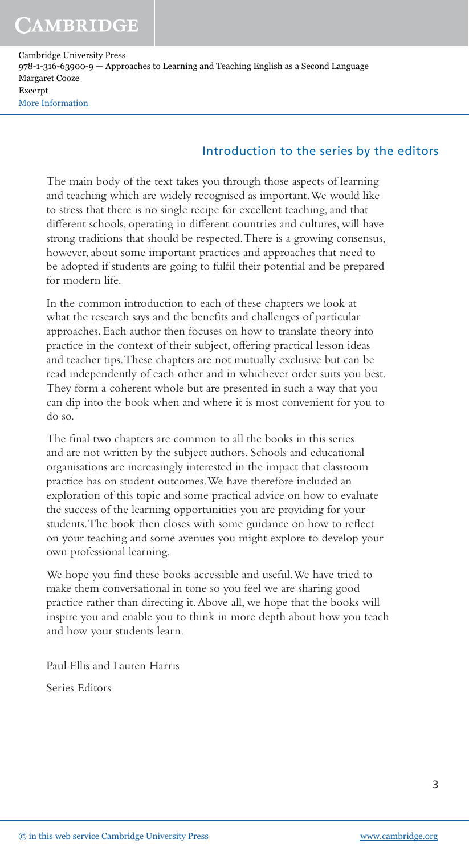Cambridge University Press 978-1-316-63900-9 — Approaches to Learning and Teaching English as a Second Language Margaret Cooze Excerpt [More Information](www.cambridge.org/9781316639009)

#### Introduction to the series by the editors

The main body of the text takes you through those aspects of learning and teaching which are widely recognised as important. We would like to stress that there is no single recipe for excellent teaching, and that diferent schools, operating in diferent countries and cultures, will have strong traditions that should be respected. There is a growing consensus, however, about some important practices and approaches that need to be adopted if students are going to fulil their potential and be prepared for modern life.

In the common introduction to each of these chapters we look at what the research says and the benefits and challenges of particular approaches. Each author then focuses on how to translate theory into practice in the context of their subject, ofering practical lesson ideas and teacher tips. These chapters are not mutually exclusive but can be read independently of each other and in whichever order suits you best. They form a coherent whole but are presented in such a way that you can dip into the book when and where it is most convenient for you to do so.

The final two chapters are common to all the books in this series and are not written by the subject authors. Schools and educational organisations are increasingly interested in the impact that classroom practice has on student outcomes. We have therefore included an exploration of this topic and some practical advice on how to evaluate the success of the learning opportunities you are providing for your students. The book then closes with some guidance on how to relect on your teaching and some avenues you might explore to develop your own professional learning.

We hope you find these books accessible and useful. We have tried to make them conversational in tone so you feel we are sharing good practice rather than directing it. Above all, we hope that the books will inspire you and enable you to think in more depth about how you teach and how your students learn.

Paul Ellis and Lauren Harris

Series Editors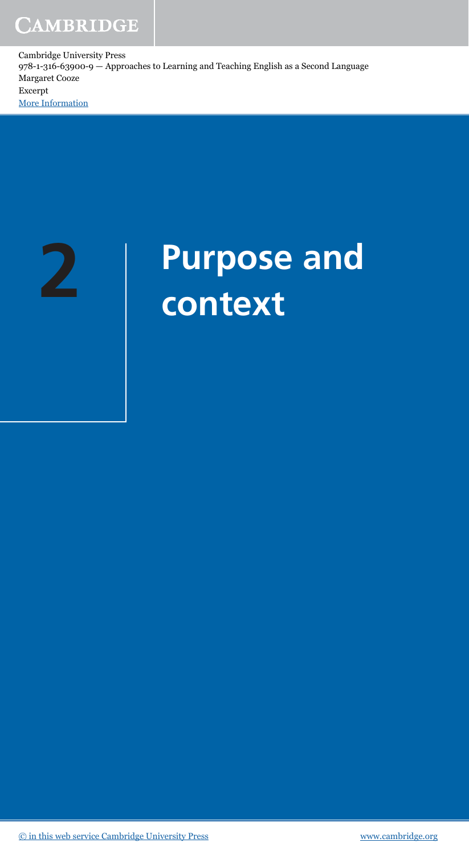Cambridge University Press 978-1-316-63900-9 — Approaches to Learning and Teaching English as a Second Language Margaret Cooze Excerpt [More Information](www.cambridge.org/9781316639009)

# **Purpose and <br>
<b>2 context**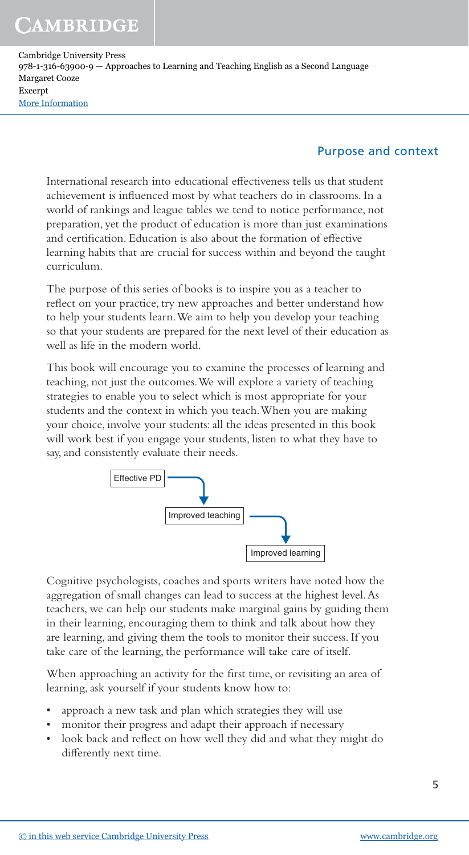Cambridge University Press 978-1-316-63900-9 — Approaches to Learning and Teaching English as a Second Language Margaret Cooze Excerpt [More Information](www.cambridge.org/9781316639009)

#### Purpose and context

International research into educational efectiveness tells us that student achievement is inluenced most by what teachers do in classrooms. In a world of rankings and league tables we tend to notice performance, not preparation, yet the product of education is more than just examinations and certification. Education is also about the formation of effective learning habits that are crucial for success within and beyond the taught curriculum.

The purpose of this series of books is to inspire you as a teacher to reflect on your practice, try new approaches and better understand how to help your students learn. We aim to help you develop your teaching so that your students are prepared for the next level of their education as well as life in the modern world.

This book will encourage you to examine the processes of learning and teaching, not just the outcomes. We will explore a variety of teaching strategies to enable you to select which is most appropriate for your students and the context in which you teach. When you are making your choice, involve your students: all the ideas presented in this book will work best if you engage your students, listen to what they have to say, and consistently evaluate their needs.



Cognitive psychologists, coaches and sports writers have noted how the aggregation of small changes can lead to success at the highest level. As teachers, we can help our students make marginal gains by guiding them in their learning, encouraging them to think and talk about how they are learning, and giving them the tools to monitor their success. If you take care of the learning, the performance will take care of itself.

When approaching an activity for the first time, or revisiting an area of learning, ask yourself if your students know how to:

- approach a new task and plan which strategies they will use
- monitor their progress and adapt their approach if necessary
- look back and reflect on how well they did and what they might do diferently next time.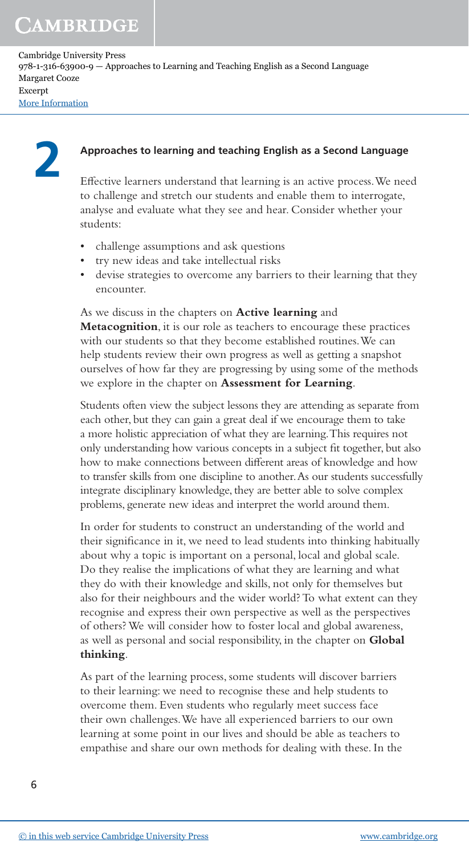Cambridge University Press 978-1-316-63900-9 — Approaches to Learning and Teaching English as a Second Language Margaret Cooze Excerpt [More Information](www.cambridge.org/9781316639009)



#### **Approaches to learning and teaching English as a Second Language**

Efective learners understand that learning is an active process. We need to challenge and stretch our students and enable them to interrogate, analyse and evaluate what they see and hear. Consider whether your students:

- challenge assumptions and ask questions
- • try new ideas and take intellectual risks
- devise strategies to overcome any barriers to their learning that they encounter.

As we discuss in the chapters on **Active learning** and **Metacognition**, it is our role as teachers to encourage these practices with our students so that they become established routines. We can help students review their own progress as well as getting a snapshot ourselves of how far they are progressing by using some of the methods

we explore in the chapter on **Assessment for Learning**.

Students often view the subject lessons they are attending as separate from each other, but they can gain a great deal if we encourage them to take a more holistic appreciation of what they are learning. This requires not only understanding how various concepts in a subject it together, but also how to make connections between diferent areas of knowledge and how to transfer skills from one discipline to another. As our students successfully integrate disciplinary knowledge, they are better able to solve complex problems, generate new ideas and interpret the world around them.

In order for students to construct an understanding of the world and their significance in it, we need to lead students into thinking habitually about why a topic is important on a personal, local and global scale. Do they realise the implications of what they are learning and what they do with their knowledge and skills, not only for themselves but also for their neighbours and the wider world? To what extent can they recognise and express their own perspective as well as the perspectives of others? We will consider how to foster local and global awareness, as well as personal and social responsibility, in the chapter on **Global thinking**.

As part of the learning process, some students will discover barriers to their learning: we need to recognise these and help students to overcome them. Even students who regularly meet success face their own challenges. We have all experienced barriers to our own learning at some point in our lives and should be able as teachers to empathise and share our own methods for dealing with these. In the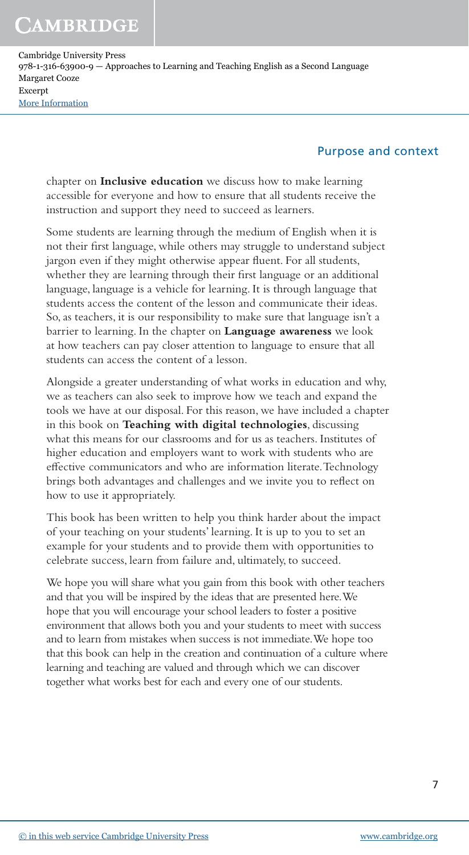Cambridge University Press 978-1-316-63900-9 — Approaches to Learning and Teaching English as a Second Language Margaret Cooze Excerpt [More Information](www.cambridge.org/9781316639009)

#### Purpose and context

chapter on **Inclusive education** we discuss how to make learning accessible for everyone and how to ensure that all students receive the instruction and support they need to succeed as learners.

Some students are learning through the medium of English when it is not their first language, while others may struggle to understand subject jargon even if they might otherwise appear fluent. For all students, whether they are learning through their first language or an additional language, language is a vehicle for learning. It is through language that students access the content of the lesson and communicate their ideas. So, as teachers, it is our responsibility to make sure that language isn't a barrier to learning. In the chapter on **Language awareness** we look at how teachers can pay closer attention to language to ensure that all students can access the content of a lesson.

Alongside a greater understanding of what works in education and why, we as teachers can also seek to improve how we teach and expand the tools we have at our disposal. For this reason, we have included a chapter in this book on **Teaching with digital technologies**, discussing what this means for our classrooms and for us as teachers. Institutes of higher education and employers want to work with students who are efective communicators and who are information literate. Technology brings both advantages and challenges and we invite you to relect on how to use it appropriately.

This book has been written to help you think harder about the impact of your teaching on your students' learning. It is up to you to set an example for your students and to provide them with opportunities to celebrate success, learn from failure and, ultimately, to succeed.

We hope you will share what you gain from this book with other teachers and that you will be inspired by the ideas that are presented here. We hope that you will encourage your school leaders to foster a positive environment that allows both you and your students to meet with success and to learn from mistakes when success is not immediate. We hope too that this book can help in the creation and continuation of a culture where learning and teaching are valued and through which we can discover together what works best for each and every one of our students.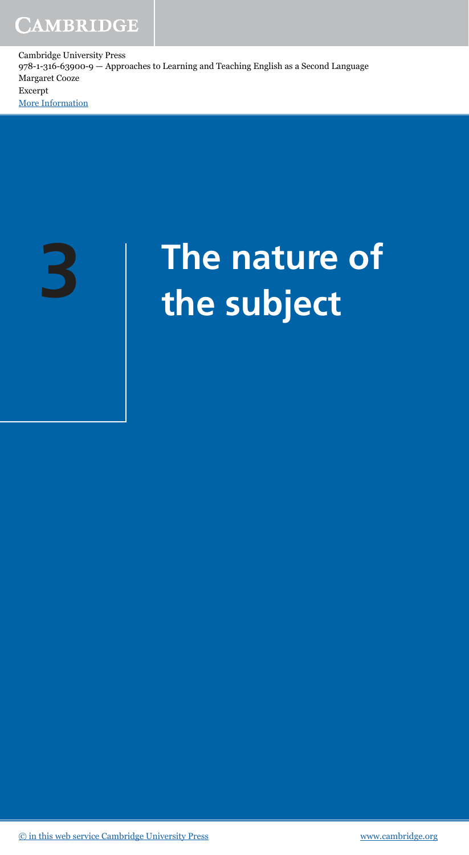Cambridge University Press 978-1-316-63900-9 — Approaches to Learning and Teaching English as a Second Language Margaret Cooze Excerpt [More Information](www.cambridge.org/9781316639009)



# **3 The nature of the subject**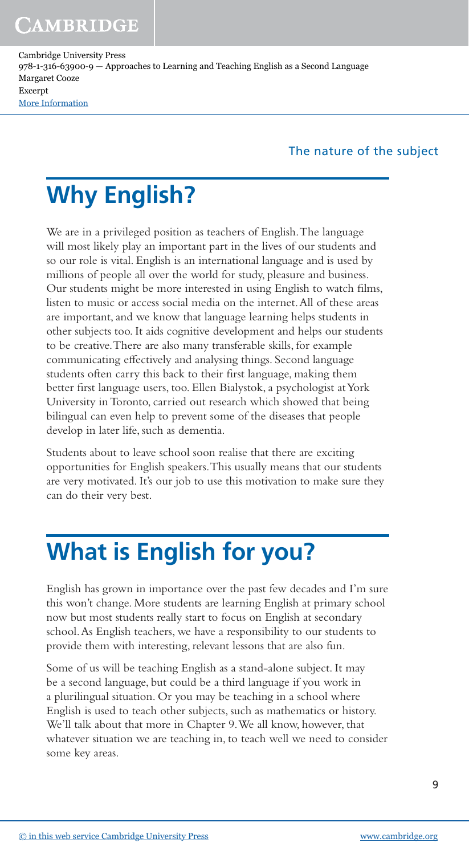Cambridge University Press 978-1-316-63900-9 — Approaches to Learning and Teaching English as a Second Language Margaret Cooze Excerpt [More Information](www.cambridge.org/9781316639009)

#### The nature of the subject

# **Why English?**

We are in a privileged position as teachers of English. The language will most likely play an important part in the lives of our students and so our role is vital. English is an international language and is used by millions of people all over the world for study, pleasure and business. Our students might be more interested in using English to watch films, listen to music or access social media on the internet. All of these areas are important, and we know that language learning helps students in other subjects too. It aids cognitive development and helps our students to be creative. There are also many transferable skills, for example communicating efectively and analysing things. Second language students often carry this back to their first language, making them better irst language users, too. Ellen Bialystok, a psychologist at York University in Toronto, carried out research which showed that being bilingual can even help to prevent some of the diseases that people develop in later life, such as dementia.

Students about to leave school soon realise that there are exciting opportunities for English speakers. This usually means that our students are very motivated. It's our job to use this motivation to make sure they can do their very best.

# **What is English for you?**

English has grown in importance over the past few decades and I'm sure this won't change. More students are learning English at primary school now but most students really start to focus on English at secondary school. As English teachers, we have a responsibility to our students to provide them with interesting, relevant lessons that are also fun.

Some of us will be teaching English as a stand-alone subject. It may be a second language, but could be a third language if you work in a plurilingual situation. Or you may be teaching in a school where English is used to teach other subjects, such as mathematics or history. We'll talk about that more in Chapter 9. We all know, however, that whatever situation we are teaching in, to teach well we need to consider some key areas.